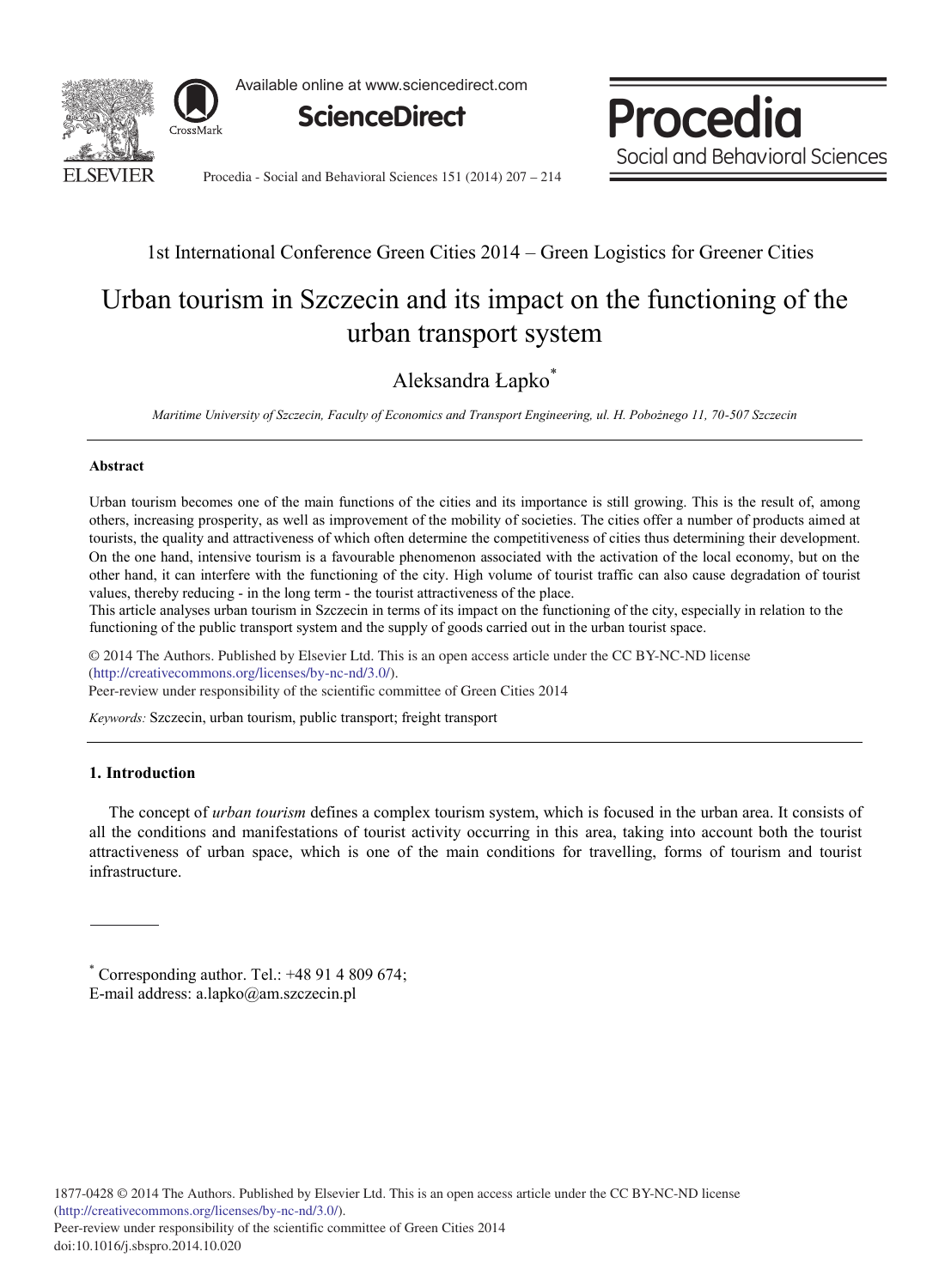

Available online at www.sciencedirect.com



Procedia Social and Behavioral Sciences

Procedia - Social and Behavioral Sciences 151 (2014) 207 - 214

## 1st International Conference Green Cities 2014 – Green Logistics for Greener Cities

# Urban tourism in Szczecin and its impact on the functioning of the urban transport system

# Aleksandra Łapko\*

*Maritime University of Szczecin, Faculty of Economics and Transport Engineering, ul. H. Pobożnego 11, 70-507 Szczecin*

### **Abstract**

Urban tourism becomes one of the main functions of the cities and its importance is still growing. This is the result of, among others, increasing prosperity, as well as improvement of the mobility of societies. The cities offer a number of products aimed at tourists, the quality and attractiveness of which often determine the competitiveness of cities thus determining their development. On the one hand, intensive tourism is a favourable phenomenon associated with the activation of the local economy, but on the other hand, it can interfere with the functioning of the city. High volume of tourist traffic can also cause degradation of tourist values, thereby reducing - in the long term - the tourist attractiveness of the place.

This article analyses urban tourism in Szczecin in terms of its impact on the functioning of the city, especially in relation to the functioning of the public transport system and the supply of goods carried out in the urban tourist space.

© 2013 The Authors. Published by Elsevier Ltd. (http://creativecommons.org/licenses/by-nc-nd/3.0/). Selection and peer-review under responsibility of the scientific committee of Green Cities 2014. Peer-review under responsibility of the scientific committee of Green Cities 2014© 2014 The Authors. Published by Elsevier Ltd. This is an open access article under the CC BY-NC-ND license

*Keywords:* Szczecin, urban tourism, public transport; freight transport

## **1. Introduction**

The concept of *urban tourism* defines a complex tourism system, which is focused in the urban area. It consists of all the conditions and manifestations of tourist activity occurring in this area, taking into account both the tourist attractiveness of urban space, which is one of the main conditions for travelling, forms of tourism and tourist infrastructure.

 $*$  Corresponding author. Tel.:  $+48914809674$ ; E-mail address: a.lapko@am.szczecin.pl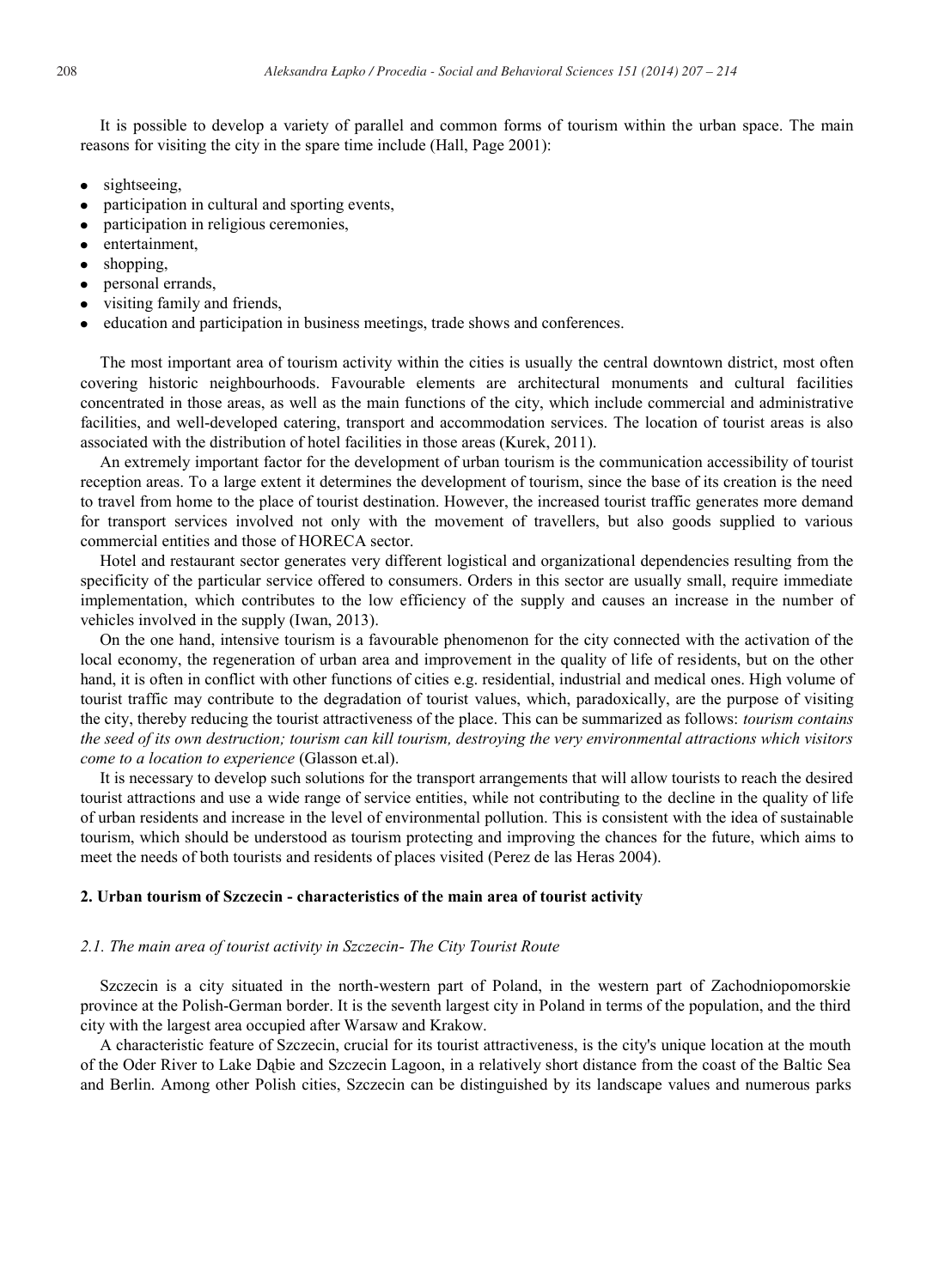It is possible to develop a variety of parallel and common forms of tourism within the urban space. The main reasons for visiting the city in the spare time include (Hall, Page 2001):

- $\bullet$ sightseeing,
- participation in cultural and sporting events,
- participation in religious ceremonies,
- entertainment,
- shopping,
- personal errands,
- visiting family and friends,
- education and participation in business meetings, trade shows and conferences.

The most important area of tourism activity within the cities is usually the central downtown district, most often covering historic neighbourhoods. Favourable elements are architectural monuments and cultural facilities concentrated in those areas, as well as the main functions of the city, which include commercial and administrative facilities, and well-developed catering, transport and accommodation services. The location of tourist areas is also associated with the distribution of hotel facilities in those areas (Kurek, 2011).

An extremely important factor for the development of urban tourism is the communication accessibility of tourist reception areas. To a large extent it determines the development of tourism, since the base of its creation is the need to travel from home to the place of tourist destination. However, the increased tourist traffic generates more demand for transport services involved not only with the movement of travellers, but also goods supplied to various commercial entities and those of HORECA sector.

Hotel and restaurant sector generates very different logistical and organizational dependencies resulting from the specificity of the particular service offered to consumers. Orders in this sector are usually small, require immediate implementation, which contributes to the low efficiency of the supply and causes an increase in the number of vehicles involved in the supply (Iwan, 2013).

On the one hand, intensive tourism is a favourable phenomenon for the city connected with the activation of the local economy, the regeneration of urban area and improvement in the quality of life of residents, but on the other hand, it is often in conflict with other functions of cities e.g. residential, industrial and medical ones. High volume of tourist traffic may contribute to the degradation of tourist values, which, paradoxically, are the purpose of visiting the city, thereby reducing the tourist attractiveness of the place. This can be summarized as follows: *tourism contains the seed of its own destruction; tourism can kill tourism, destroying the very environmental attractions which visitors come to a location to experience* (Glasson et.al).

It is necessary to develop such solutions for the transport arrangements that will allow tourists to reach the desired tourist attractions and use a wide range of service entities, while not contributing to the decline in the quality of life of urban residents and increase in the level of environmental pollution. This is consistent with the idea of sustainable tourism, which should be understood as tourism protecting and improving the chances for the future, which aims to meet the needs of both tourists and residents of places visited (Perez de las Heras 2004).

#### **2. Urban tourism of Szczecin - characteristics of the main area of tourist activity**

### *2.1. The main area of tourist activity in Szczecin- The City Tourist Route*

Szczecin is a city situated in the north-western part of Poland, in the western part of Zachodniopomorskie province at the Polish-German border. It is the seventh largest city in Poland in terms of the population, and the third city with the largest area occupied after Warsaw and Krakow.

A characteristic feature of Szczecin, crucial for its tourist attractiveness, is the city's unique location at the mouth of the Oder River to Lake Dąbie and Szczecin Lagoon, in a relatively short distance from the coast of the Baltic Sea and Berlin. Among other Polish cities, Szczecin can be distinguished by its landscape values and numerous parks